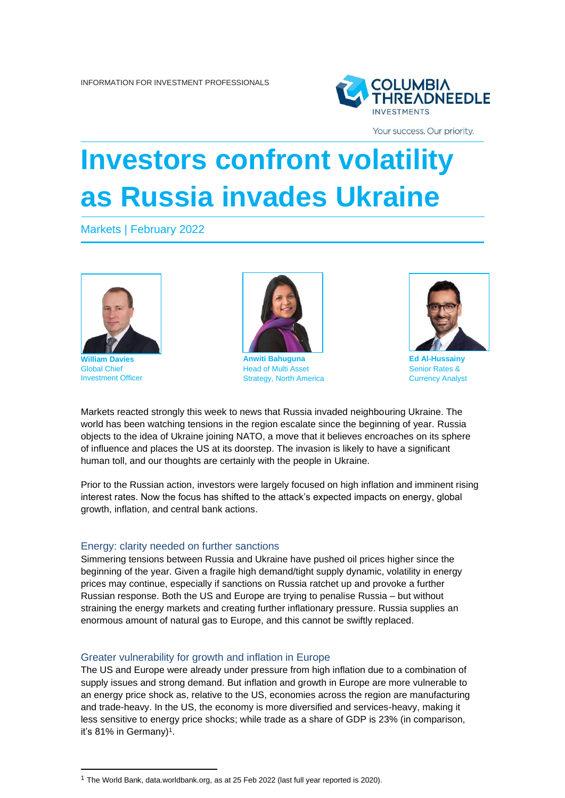

Your success. Our priority.

# **Investors confront volatility as Russia invades Ukraine**

Markets | February 2022



**William Dav** Global Chief Investment Officer



**Anwiti Bahuguna** Head of Multi Asset Strategy, North America



**Ed Al-Hussainy** Senior Rates & Currency Analyst

Markets reacted strongly this week to news that Russia invaded neighbouring Ukraine. The world has been watching tensions in the region escalate since the beginning of year. Russia objects to the idea of Ukraine joining NATO, a move that it believes encroaches on its sphere of influence and places the US at its doorstep. The invasion is likely to have a significant human toll, and our thoughts are certainly with the people in Ukraine.

Prior to the Russian action, investors were largely focused on high inflation and imminent rising interest rates. Now the focus has shifted to the attack's expected impacts on energy, global growth, inflation, and central bank actions.

## Energy: clarity needed on further sanctions

Simmering tensions between Russia and Ukraine have pushed oil prices higher since the beginning of the year. Given a fragile high demand/tight supply dynamic, volatility in energy prices may continue, especially if sanctions on Russia ratchet up and provoke a further Russian response. Both the US and Europe are trying to penalise Russia – but without straining the energy markets and creating further inflationary pressure. Russia supplies an enormous amount of natural gas to Europe, and this cannot be swiftly replaced.

## Greater vulnerability for growth and inflation in Europe

The US and Europe were already under pressure from high inflation due to a combination of supply issues and strong demand. But inflation and growth in Europe are more vulnerable to an energy price shock as, relative to the US, economies across the region are manufacturing and trade-heavy. In the US, the economy is more diversified and services-heavy, making it less sensitive to energy price shocks; while trade as a share of GDP is 23% (in comparison, it's 81% in Germany)<sup>1</sup>.

<sup>&</sup>lt;sup>1</sup> The World Bank, data.worldbank.org, as at 25 Feb 2022 (last full year reported is 2020).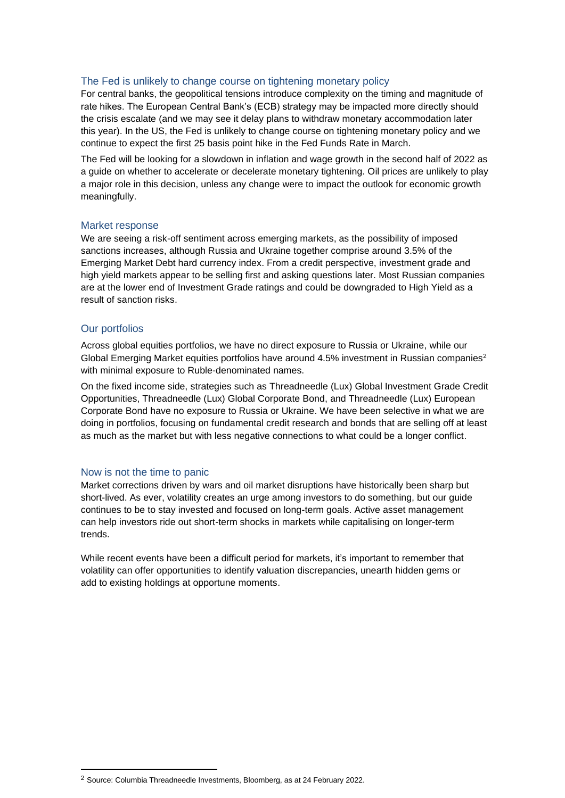## The Fed is unlikely to change course on tightening monetary policy

For central banks, the geopolitical tensions introduce complexity on the timing and magnitude of rate hikes. The European Central Bank's (ECB) strategy may be impacted more directly should the crisis escalate (and we may see it delay plans to withdraw monetary accommodation later this year). In the US, the Fed is unlikely to change course on tightening monetary policy and we continue to expect the first 25 basis point hike in the Fed Funds Rate in March.

The Fed will be looking for a slowdown in inflation and wage growth in the second half of 2022 as a guide on whether to accelerate or decelerate monetary tightening. Oil prices are unlikely to play a major role in this decision, unless any change were to impact the outlook for economic growth meaningfully.

## Market response

We are seeing a risk-off sentiment across emerging markets, as the possibility of imposed sanctions increases, although Russia and Ukraine together comprise around 3.5% of the Emerging Market Debt hard currency index. From a credit perspective, investment grade and high yield markets appear to be selling first and asking questions later. Most Russian companies are at the lower end of Investment Grade ratings and could be downgraded to High Yield as a result of sanction risks.

## Our portfolios

Across global equities portfolios, we have no direct exposure to Russia or Ukraine, while our Global Emerging Market equities portfolios have around 4.5% investment in Russian companies<sup>2</sup> with minimal exposure to Ruble-denominated names.

On the fixed income side, strategies such as Threadneedle (Lux) Global Investment Grade Credit Opportunities, Threadneedle (Lux) Global Corporate Bond, and Threadneedle (Lux) European Corporate Bond have no exposure to Russia or Ukraine. We have been selective in what we are doing in portfolios, focusing on fundamental credit research and bonds that are selling off at least as much as the market but with less negative connections to what could be a longer conflict.

## Now is not the time to panic

Market corrections driven by wars and oil market disruptions have historically been sharp but short-lived. As ever, volatility creates an urge among investors to do something, but our guide continues to be to stay invested and focused on long-term goals. Active asset management can help investors ride out short-term shocks in markets while capitalising on longer-term trends.

While recent events have been a difficult period for markets, it's important to remember that volatility can offer opportunities to identify valuation discrepancies, unearth hidden gems or add to existing holdings at opportune moments.

<sup>&</sup>lt;sup>2</sup> Source: Columbia Threadneedle Investments, Bloomberg, as at 24 February 2022.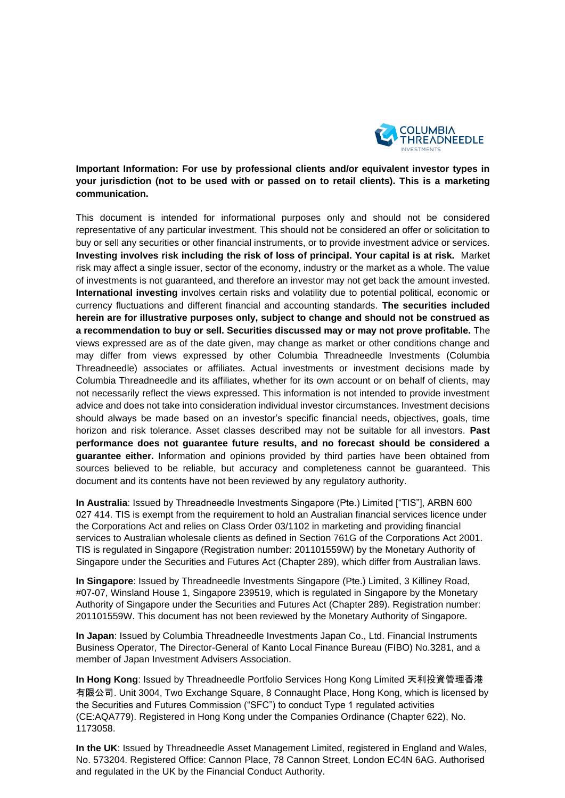

**Important Information: For use by professional clients and/or equivalent investor types in your jurisdiction (not to be used with or passed on to retail clients). This is a marketing communication.** 

This document is intended for informational purposes only and should not be considered representative of any particular investment. This should not be considered an offer or solicitation to buy or sell any securities or other financial instruments, or to provide investment advice or services. **Investing involves risk including the risk of loss of principal. Your capital is at risk.** Market risk may affect a single issuer, sector of the economy, industry or the market as a whole. The value of investments is not guaranteed, and therefore an investor may not get back the amount invested. **International investing** involves certain risks and volatility due to potential political, economic or currency fluctuations and different financial and accounting standards. **The securities included herein are for illustrative purposes only, subject to change and should not be construed as a recommendation to buy or sell. Securities discussed may or may not prove profitable.** The views expressed are as of the date given, may change as market or other conditions change and may differ from views expressed by other Columbia Threadneedle Investments (Columbia Threadneedle) associates or affiliates. Actual investments or investment decisions made by Columbia Threadneedle and its affiliates, whether for its own account or on behalf of clients, may not necessarily reflect the views expressed. This information is not intended to provide investment advice and does not take into consideration individual investor circumstances. Investment decisions should always be made based on an investor's specific financial needs, objectives, goals, time horizon and risk tolerance. Asset classes described may not be suitable for all investors. **Past performance does not guarantee future results, and no forecast should be considered a guarantee either.** Information and opinions provided by third parties have been obtained from sources believed to be reliable, but accuracy and completeness cannot be guaranteed. This document and its contents have not been reviewed by any regulatory authority.

**In Australia**: Issued by Threadneedle Investments Singapore (Pte.) Limited ["TIS"], ARBN 600 027 414. TIS is exempt from the requirement to hold an Australian financial services licence under the Corporations Act and relies on Class Order 03/1102 in marketing and providing financial services to Australian wholesale clients as defined in Section 761G of the Corporations Act 2001. TIS is regulated in Singapore (Registration number: 201101559W) by the Monetary Authority of Singapore under the Securities and Futures Act (Chapter 289), which differ from Australian laws.

**In Singapore**: Issued by Threadneedle Investments Singapore (Pte.) Limited, 3 Killiney Road, #07-07, Winsland House 1, Singapore 239519, which is regulated in Singapore by the Monetary Authority of Singapore under the Securities and Futures Act (Chapter 289). Registration number: 201101559W. This document has not been reviewed by the Monetary Authority of Singapore.

**In Japan**: Issued by Columbia Threadneedle Investments Japan Co., Ltd. Financial Instruments Business Operator, The Director-General of Kanto Local Finance Bureau (FIBO) No.3281, and a member of Japan Investment Advisers Association.

**In Hong Kong**: Issued by Threadneedle Portfolio Services Hong Kong Limited 天利投資管理香港 有限公司. Unit 3004, Two Exchange Square, 8 Connaught Place, Hong Kong, which is licensed by the Securities and Futures Commission ("SFC") to conduct Type 1 regulated activities (CE:AQA779). Registered in Hong Kong under the Companies Ordinance (Chapter 622), No. 1173058.

**In the UK**: Issued by Threadneedle Asset Management Limited, registered in England and Wales, No. 573204. Registered Office: Cannon Place, 78 Cannon Street, London EC4N 6AG. Authorised and regulated in the UK by the Financial Conduct Authority.